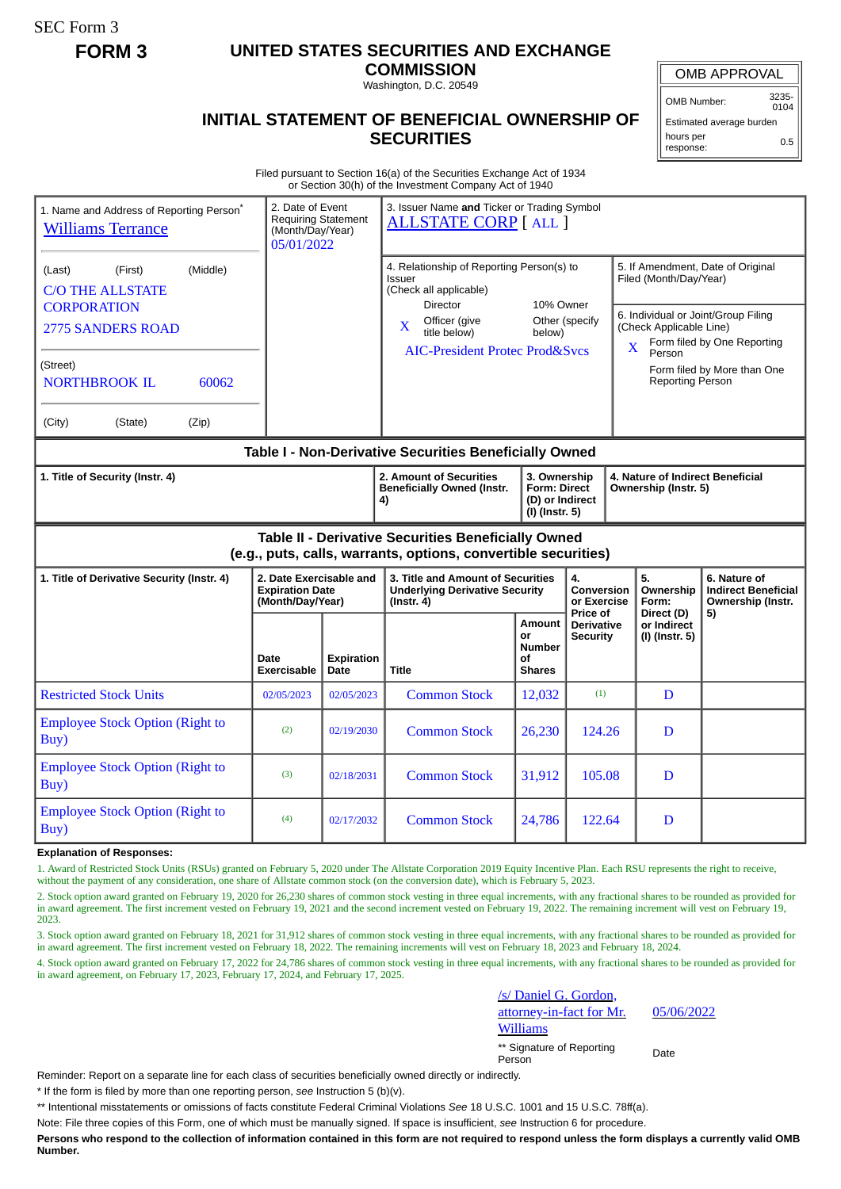SEC Form 3

## **FORM 3 UNITED STATES SECURITIES AND EXCHANGE**

**COMMISSION** Washington, D.C. 20549

## **INITIAL STATEMENT OF BENEFICIAL OWNERSHIP OF SECURITIES**

OMB APPROVAL

OMB Number: 3235-  $0104$ 

Estimated average burden hours per response: 0.5

## Filed pursuant to Section 16(a) of the Securities Exchange Act of 1934 or Section 30(h) of the Investment Company Act of 1940

| 1. Name and Address of Reporting Person <sup>®</sup><br><b>Williams Terrance</b>                                       | 2. Date of Event<br><b>Requiring Statement</b><br>(Month/Day/Year)<br>05/01/2022 |                                                                    | 3. Issuer Name and Ticker or Trading Symbol<br><b>ALLSTATE CORP</b> [ALL ]                                                                                                                              |                                                      |                                                          |                                                                                                                                                                                                            |                                                                 |
|------------------------------------------------------------------------------------------------------------------------|----------------------------------------------------------------------------------|--------------------------------------------------------------------|---------------------------------------------------------------------------------------------------------------------------------------------------------------------------------------------------------|------------------------------------------------------|----------------------------------------------------------|------------------------------------------------------------------------------------------------------------------------------------------------------------------------------------------------------------|-----------------------------------------------------------------|
| (Middle)<br>(First)<br>(Last)<br><b>C/O THE ALLSTATE</b><br><b>CORPORATION</b><br><b>2775 SANDERS ROAD</b><br>(Street) |                                                                                  |                                                                    | 4. Relationship of Reporting Person(s) to<br>Issuer<br>(Check all applicable)<br><b>Director</b><br>Officer (give<br>$\mathbf X$<br>title below)<br>below)<br><b>AIC-President Protec Prod&amp;Svcs</b> |                                                      | 10% Owner<br>Other (specify                              | 5. If Amendment, Date of Original<br>Filed (Month/Day/Year)<br>6. Individual or Joint/Group Filing<br>(Check Applicable Line)<br>Form filed by One Reporting<br>X<br>Person<br>Form filed by More than One |                                                                 |
| 60062<br><b>NORTHBROOK IL</b>                                                                                          |                                                                                  |                                                                    |                                                                                                                                                                                                         |                                                      |                                                          | <b>Reporting Person</b>                                                                                                                                                                                    |                                                                 |
| (Zip)<br>(City)<br>(State)                                                                                             |                                                                                  |                                                                    |                                                                                                                                                                                                         |                                                      |                                                          |                                                                                                                                                                                                            |                                                                 |
| Table I - Non-Derivative Securities Beneficially Owned                                                                 |                                                                                  |                                                                    |                                                                                                                                                                                                         |                                                      |                                                          |                                                                                                                                                                                                            |                                                                 |
| 1. Title of Security (Instr. 4)                                                                                        |                                                                                  | 2. Amount of Securities<br><b>Beneficially Owned (Instr.</b><br>4) | 3. Ownership<br><b>Form: Direct</b><br>(D) or Indirect<br>(I) (Instr. 5)                                                                                                                                |                                                      | 4. Nature of Indirect Beneficial<br>Ownership (Instr. 5) |                                                                                                                                                                                                            |                                                                 |
| Table II - Derivative Securities Beneficially Owned<br>(e.g., puts, calls, warrants, options, convertible securities)  |                                                                                  |                                                                    |                                                                                                                                                                                                         |                                                      |                                                          |                                                                                                                                                                                                            |                                                                 |
| 1. Title of Derivative Security (Instr. 4)                                                                             | 2. Date Exercisable and<br><b>Expiration Date</b><br>(Month/Day/Year)            |                                                                    | 3. Title and Amount of Securities<br><b>Underlying Derivative Security</b><br>(Instr. 4)                                                                                                                |                                                      | 4.<br>Conversion<br>or Exercise<br>Price of              | 5.<br>Ownership<br>Form:                                                                                                                                                                                   | 6. Nature of<br><b>Indirect Beneficial</b><br>Ownership (Instr. |
|                                                                                                                        | Date<br><b>Exercisable</b>                                                       | <b>Expiration</b><br><b>Date</b>                                   | <b>Title</b>                                                                                                                                                                                            | Amount<br>or<br><b>Number</b><br>οf<br><b>Shares</b> | <b>Derivative</b><br>Security                            | Direct (D)<br>or Indirect<br>(I) (Instr. 5)                                                                                                                                                                | 5)                                                              |
| <b>Restricted Stock Units</b>                                                                                          | 02/05/2023                                                                       | 02/05/2023                                                         | <b>Common Stock</b>                                                                                                                                                                                     | 12,032                                               | (1)                                                      | D                                                                                                                                                                                                          |                                                                 |
| <b>Employee Stock Option (Right to</b><br>Buy)                                                                         | (2)                                                                              | 02/19/2030                                                         | <b>Common Stock</b>                                                                                                                                                                                     | 26,230                                               | 124.26                                                   | D                                                                                                                                                                                                          |                                                                 |
| <b>Employee Stock Option (Right to</b><br>Buy)                                                                         | (3)                                                                              | 02/18/2031                                                         | <b>Common Stock</b>                                                                                                                                                                                     | 31,912                                               | 105.08                                                   | D                                                                                                                                                                                                          |                                                                 |
| <b>Employee Stock Option (Right to</b><br>Buy)                                                                         | (4)                                                                              | 02/17/2032                                                         | <b>Common Stock</b>                                                                                                                                                                                     | 24,786                                               | 122.64                                                   | D                                                                                                                                                                                                          |                                                                 |

## **Explanation of Responses:**

1. Award of Restricted Stock Units (RSUs) granted on February 5, 2020 under The Allstate Corporation 2019 Equity Incentive Plan. Each RSU represents the right to receive, without the payment of any consideration, one share of Allstate common stock (on the conversion date), which is February 5, 2023.

2. Stock option award granted on February 19, 2020 for 26,230 shares of common stock vesting in three equal increments, with any fractional shares to be rounded as provided for in award agreement. The first increment vested on February 19, 2021 and the second increment vested on February 19, 2022. The remaining increment will vest on February 19, 2023.

3. Stock option award granted on February 18, 2021 for 31,912 shares of common stock vesting in three equal increments, with any fractional shares to be rounded as provided for in award agreement. The first increment vested on February 18, 2022. The remaining increments will vest on February 18, 2023 and February 18, 2024.

4. Stock option award granted on February 17, 2022 for 24,786 shares of common stock vesting in three equal increments, with any fractional shares to be rounded as provided for in award agreement, on February 17, 2023, February 17, 2024, and February 17, 2025.

> /s/ Daniel G. Gordon, attorney-in-fact for Mr. **Williams** \*\* Signature of Reporting Person Date

05/06/2022

Reminder: Report on a separate line for each class of securities beneficially owned directly or indirectly.

\* If the form is filed by more than one reporting person, *see* Instruction 5 (b)(v).

\*\* Intentional misstatements or omissions of facts constitute Federal Criminal Violations *See* 18 U.S.C. 1001 and 15 U.S.C. 78ff(a).

Note: File three copies of this Form, one of which must be manually signed. If space is insufficient, *see* Instruction 6 for procedure.

**Persons who respond to the collection of information contained in this form are not required to respond unless the form displays a currently valid OMB Number.**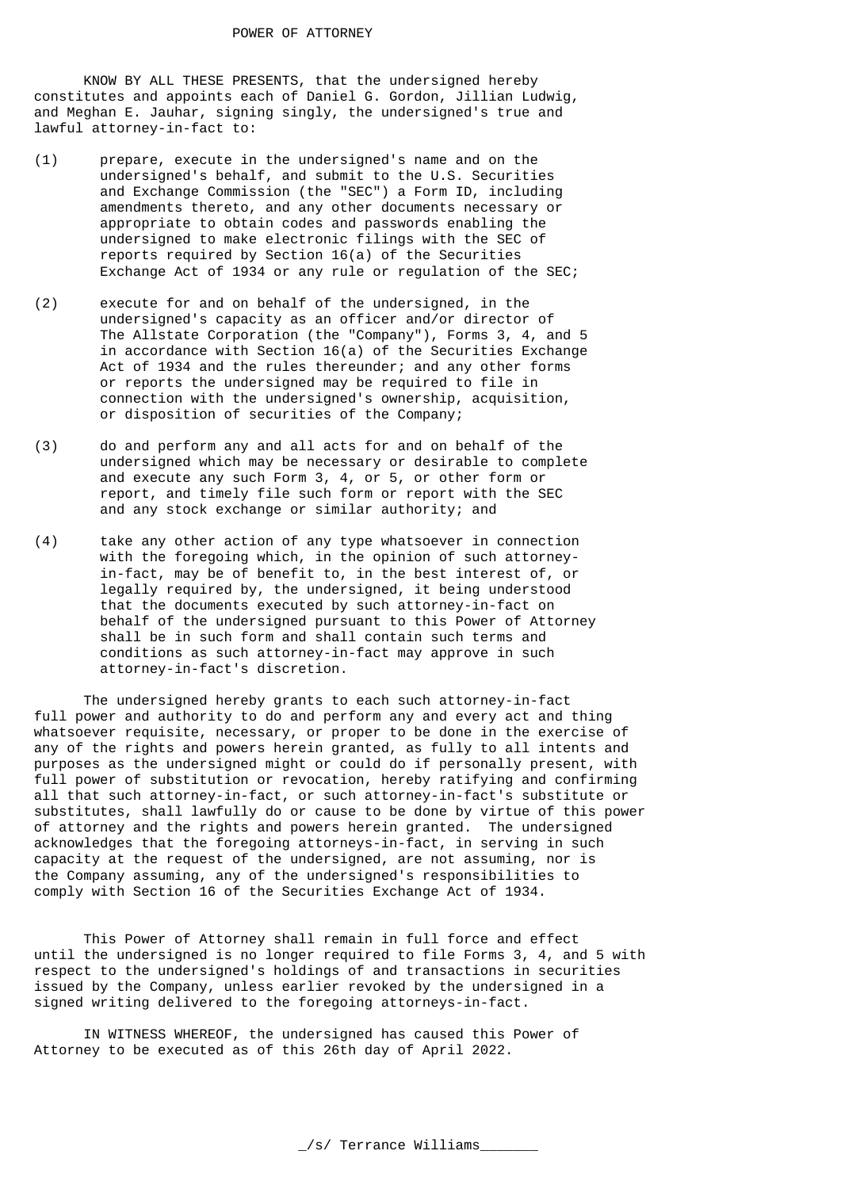KNOW BY ALL THESE PRESENTS, that the undersigned hereby constitutes and appoints each of Daniel G. Gordon, Jillian Ludwig, and Meghan E. Jauhar, signing singly, the undersigned's true and lawful attorney-in-fact to:

- (1) prepare, execute in the undersigned's name and on the undersigned's behalf, and submit to the U.S. Securities and Exchange Commission (the "SEC") a Form ID, including amendments thereto, and any other documents necessary or appropriate to obtain codes and passwords enabling the undersigned to make electronic filings with the SEC of reports required by Section 16(a) of the Securities Exchange Act of 1934 or any rule or regulation of the SEC;
- (2) execute for and on behalf of the undersigned, in the undersigned's capacity as an officer and/or director of The Allstate Corporation (the "Company"), Forms 3, 4, and 5 in accordance with Section 16(a) of the Securities Exchange Act of 1934 and the rules thereunder; and any other forms or reports the undersigned may be required to file in connection with the undersigned's ownership, acquisition, or disposition of securities of the Company;
- (3) do and perform any and all acts for and on behalf of the undersigned which may be necessary or desirable to complete and execute any such Form 3, 4, or 5, or other form or report, and timely file such form or report with the SEC and any stock exchange or similar authority; and
- (4) take any other action of any type whatsoever in connection with the foregoing which, in the opinion of such attorneyin-fact, may be of benefit to, in the best interest of, or legally required by, the undersigned, it being understood that the documents executed by such attorney-in-fact on behalf of the undersigned pursuant to this Power of Attorney shall be in such form and shall contain such terms and conditions as such attorney-in-fact may approve in such attorney-in-fact's discretion.

 The undersigned hereby grants to each such attorney-in-fact full power and authority to do and perform any and every act and thing whatsoever requisite, necessary, or proper to be done in the exercise of any of the rights and powers herein granted, as fully to all intents and purposes as the undersigned might or could do if personally present, with full power of substitution or revocation, hereby ratifying and confirming all that such attorney-in-fact, or such attorney-in-fact's substitute or substitutes, shall lawfully do or cause to be done by virtue of this power of attorney and the rights and powers herein granted. The undersigned acknowledges that the foregoing attorneys-in-fact, in serving in such capacity at the request of the undersigned, are not assuming, nor is the Company assuming, any of the undersigned's responsibilities to comply with Section 16 of the Securities Exchange Act of 1934.

 This Power of Attorney shall remain in full force and effect until the undersigned is no longer required to file Forms 3, 4, and 5 with respect to the undersigned's holdings of and transactions in securities issued by the Company, unless earlier revoked by the undersigned in a signed writing delivered to the foregoing attorneys-in-fact.

 IN WITNESS WHEREOF, the undersigned has caused this Power of Attorney to be executed as of this 26th day of April 2022.